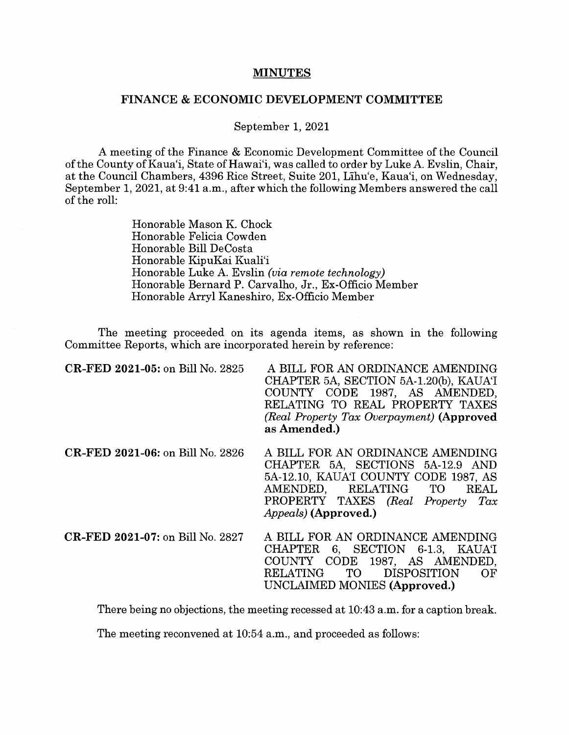## **MINUTES**

## **FINANCE** & **ECONOMIC DEVELOPMENT COMMITTEE**

September 1, 2021

A meeting of the Finance & Economic Development Committee of the Council of the County of Kaua'i, State of Hawai'i, was called to order by Luke A. Evslin, Chair, at the Council Chambers, 4396 Rice Street, Suite 201, Lihu'e, Kaua'i, on Wednesday, September 1, 2021, at 9:41 a.m., after which the following Members answered the call of the roll:

> Honorable Mason K. Chock Honorable Felicia Cowden Honorable Bill DeCosta Honorable KipuKai Kuali'i Honorable Luke A. Evslin *(via remote technology)*  Honorable Bernard P. Carvalho, Jr., Ex-Officio Member Honorable Arryl Kaneshiro, Ex-Officio Member

The meeting proceeded on its agenda items, as shown in the following Committee Reports, which are incorporated herein by reference:

| CR-FED 2021-05: on Bill No. 2825        | A BILL FOR AN ORDINANCE AMENDING<br>CHAPTER 5A, SECTION 5A-1.20(b), KAUAT<br>COUNTY CODE 1987, AS AMENDED,<br>RELATING TO REAL PROPERTY TAXES<br>(Real Property Tax Overpayment) (Approved<br>as Amended.)               |
|-----------------------------------------|--------------------------------------------------------------------------------------------------------------------------------------------------------------------------------------------------------------------------|
| <b>CR-FED 2021-06:</b> on Bill No. 2826 | A BILL FOR AN ORDINANCE AMENDING<br>CHAPTER 5A, SECTIONS 5A-12.9 AND<br>5A-12.10, KAUAT COUNTY CODE 1987, AS<br>AMENDED, RELATING TO<br><b>REAL</b><br>PROPERTY TAXES (Real Property Tax<br><i>Appeals</i> ) (Approved.) |
| CR-FED 2021-07: on Bill No. 2827        | A BILL FOR AN ORDINANCE AMENDING<br>CHAPTER 6, SECTION 6-1.3, KAUAT<br>COUNTY CODE 1987, AS AMENDED,<br>TO DISPOSITION<br>RELATING<br>OF<br>UNCLAIMED MONIES (Approved.)                                                 |

There being no objections, the meeting recessed at 10:43 a.m. for a caption break.

The meeting reconvened at 10:54 a.m., and proceeded as follows: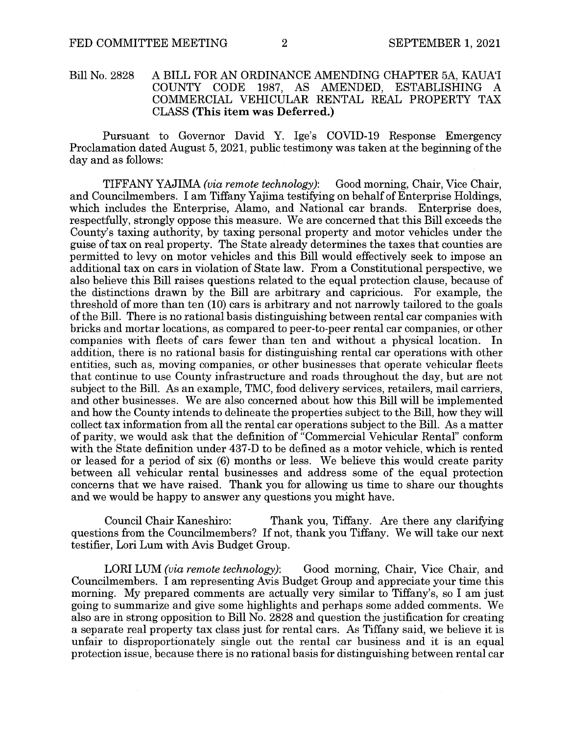## Bill No. 2828 A BILL FOR AN ORDINANCE AMENDING CHAPTER 5A, KAUAT COUNTY CODE 1987. AS AMENDED. ESTABLISHING A CODE 1987, AS AMENDED, ESTABLISHING A COMMERCIAL VEHICULAR RENTAL REAL PROPERTY TAX CLASS **(This item was Deferred.)**

Pursuant to Governor David Y. Ige's COVID-19 Response Emergency Proclamation dated August 5, 2021, public testimony was taken at the beginning of the day and as follows:

TIFFANY YAJIMA *(via remote technology):* Good morning, Chair, Vice Chair, and Councilmembers. I am Tiffany Yajima testifying on behalf of Enterprise Holdings, which includes the Enterprise, Alamo, and National car brands. Enterprise does, respectfully, strongly oppose this measure. We are concerned that this Bill exceeds the County's taxing authority, by taxing personal property and motor vehicles under the guise of tax on real property. The State already determines the taxes that counties are permitted to levy on motor vehicles and this Bill would effectively seek to impose an additional tax on cars in violation of State law. From a Constitutional perspective, we also believe this Bill raises questions related to the equal protection clause, because of the distinctions drawn by the Bill are arbitrary and capricious. For example, the threshold of more than ten (10) cars is arbitrary and not narrowly tailored to the goals of the Bill. There is no rational basis distinguishing between rental car companies with bricks and mortar locations, as compared to peer-to-peer rental car companies, or other companies with fleets of cars fewer than ten and without a physical location. In addition, there is no rational basis for distinguishing rental car operations with other entities, such as, moving companies, or other businesses that operate vehicular fleets that continue to use County infrastructure and roads throughout the day, but are not subject to the Bill. As an example, TMC, food delivery services, retailers, mail carriers, and other businesses. We are also concerned about how this Bill will be implemented and how the County intends to delineate the properties subject to the Bill, how they will collect tax information from all the rental car operations subject to the Bill. As a matter of parity, we would ask that the definition of "Commercial Vehicular Rental" conform with the State definition under 437-D to be defined as a motor vehicle, which is rented or leased for a period of six (6) months or less. We believe this would create parity between all vehicular rental businesses and address some of the equal protection concerns that we have raised. Thank you for allowing us time to share our thoughts and we would be happy to answer any questions you might have.

Council Chair Kaneshiro: Thank you, Tiffany. Are there any clarifying questions from the Councilmembers? If not, thank you Tiffany. We will take our next testifier, Lori Lum with Avis Budget Group.

LORI LUM *(via remote technology)*: Good morning, Chair, Vice Chair, and Councilmembers. I am representing Avis Budget Group and appreciate your time this morning. My prepared comments are actually very similar to Tiffany's, so I am just going to summarize and give some highlights and perhaps some added comments. We also are in strong opposition to Bill No. 2828 and question the justification for creating a separate real property tax class just for rental cars. As Tiffany said, we believe it is unfair to disproportionately single out the rental car business and it is an equal protection issue, because there is no rational basis for distinguishing between rental car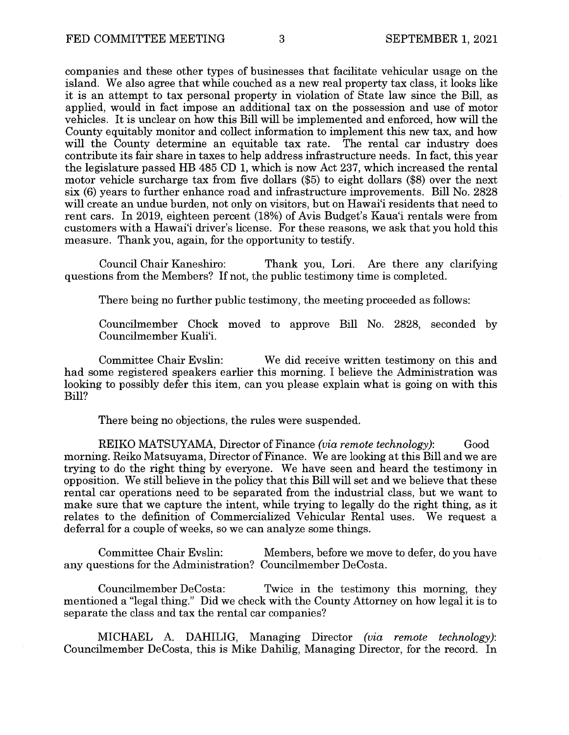companies and these other types of businesses that facilitate vehicular usage on the island. We also agree that while couched as a new real property tax class, it looks like it is an attempt to tax personal property in violation of State law since the Bill, as applied, would in fact impose an additional tax on the possession and use of motor vehicles. It is unclear on how this Bill will be implemented and enforced, how will the County equitably monitor and collect information to implement this new tax, and how will the County determine an equitable tax rate. The rental car industry does contribute its fair share in taxes to help address infrastructure needs. In fact, this year the legislature passed HB 485 CD 1, which is now Act 237, which increased the rental motor vehicle surcharge tax from five dollars (\$5) to eight dollars (\$8) over the next six (6) years to further enhance road and infrastructure improvements. Bill No. 2828 will create an undue burden, not only on visitors, but on Hawai'i residents that need to rent cars. In 2019, eighteen percent (18%) of Avis Budget's Kaua'i rentals were from customers with a Hawai'i driver's license. For these reasons, we ask that you hold this measure. Thank you, again, for the opportunity to testify.

Council Chair Kaneshiro: Thank you, Lori. Are there any clarifying questions from the Members? If not, the public testimony time is completed.

There being no further public testimony, the meeting proceeded as follows:

Councilmember Chock moved to approve Bill No. 2828, seconded by Councilmember Kuali'i.

Committee Chair Evslin: We did receive written testimony on this and had some registered speakers earlier this morning. I believe the Administration was looking to possibly defer this item, can you please explain what is going on with this Bill?

There being no objections, the rules were suspended.

REIKO MATSUYAMA, Director of Finance *(via remote technology)*: Good morning. Reiko Matsuyama, Director of Finance. We are looking at this Bill and we are trying to do the right thing by everyone. We have seen and heard the testimony in opposition. We still believe in the policy that this Bill will set and we believe that these rental car operations need to be separated from the industrial class, but we want to make sure that we capture the intent, while trying to legally do the right thing, as it relates to the definition of Commercialized Vehicular Rental uses. We request a deferral for a couple of weeks, so we can analyze some things.

Committee Chair Evslin: Members, before we move to defer, do you have any questions for the Administration? Councilmember DeCosta.

Councilmember DeCosta: Twice in the testimony this morning, they mentioned a "legal thing." **Did** we check with the County Attorney on how legal it is to separate the class and tax the rental car companies?

MICHAEL A. DAHILIG, Managing Director *(via remote technology):*  Councilmember DeCosta, this is Mike Dahilig, Managing Director, for the record. In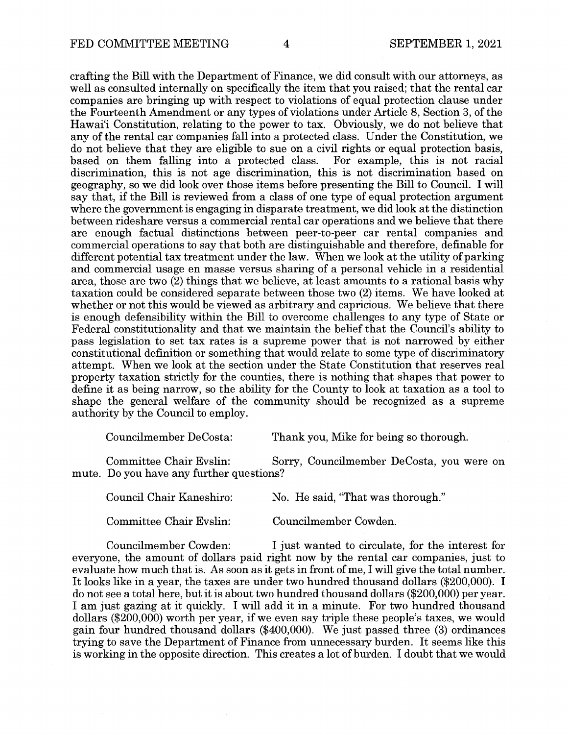crafting the Bill with the Department of Finance, we did consult with our attorneys, as well as consulted internally on specifically the item that you raised; that the rental car companies are bringing up with respect to violations of equal protection clause under the Fourteenth Amendment or any types of violations under Article 8, Section 3, of the Hawai'i Constitution, relating to the power to tax. Obviously, we do not believe that any of the rental car companies fall into a protected class. Under the Constitution, we do not believe that they are eligible to sue on a civil rights or equal protection basis, based on them falling into a protected class. For example, this is not racial based on them falling into a protected class. discrimination, this is not age discrimination, this is not discrimination based on geography, so we did look over those items before presenting the Bill to Council. I will say that, if the Bill is reviewed from a class of one type of equal protection argument where the government is engaging in disparate treatment, we did look at the distinction between rideshare versus a commercial rental car operations and we believe that there are enough factual distinctions between peer-to-peer car rental companies and commercial operations to say that both are distinguishable and therefore, definable for different potential tax treatment under the law. When we look at the utility of parking and commercial usage en masse versus sharing of a personal vehicle in a residential area, those are two (2) things that we believe, at least amounts to a rational basis why taxation could be considered separate between those two (2) items. We have looked at whether or not this would be viewed as arbitrary and capricious. We believe that there is enough defensibility within the Bill to overcome challenges to any type of State or Federal constitutionality and that we maintain the belief that the Council's ability to pass legislation to set tax rates is a supreme power that is not narrowed by either constitutional definition or something that would relate to some type of discriminatory attempt. When we look at the section under the State Constitution that reserves real property taxation strictly for the counties, there is nothing that shapes that power to define it as being narrow, so the ability for the County to look at taxation as a tool to shape the general welfare of the community should be recognized as a supreme authority by the Council to employ.

Councilmember DeCosta: Thank you, Mike for being so thorough.

Committee Chair Evslin: Sorry, Councilmember DeCosta, you were on mute. Do you have any further questions?

Council Chair Kaneshiro: No. He said, "That was thorough."

Committee Chair Evslin: Councilmember Cowden.

Councilmember Cowden: I just wanted to circulate, for the interest for everyone, the amount of dollars paid right now by the rental car companies, just to evaluate how much that is. As soon as it gets in front of me, I will give the total number. It looks like in a year, the taxes are under two hundred thousand dollars (\$200,000). I do not see a total here, but it is about two hundred thousand dollars (\$200,000) per year. I am just gazing at it quickly. I will add it in a minute. For two hundred thousand dollars (\$200,000) worth per year, if we even say triple these people's taxes, we would gain four hundred thousand dollars (\$400,000). We just passed three (3) ordinances trying to save the Department of Finance from unnecessary burden. It seems like this is working in the opposite direction. This creates a lot of burden. I doubt that we would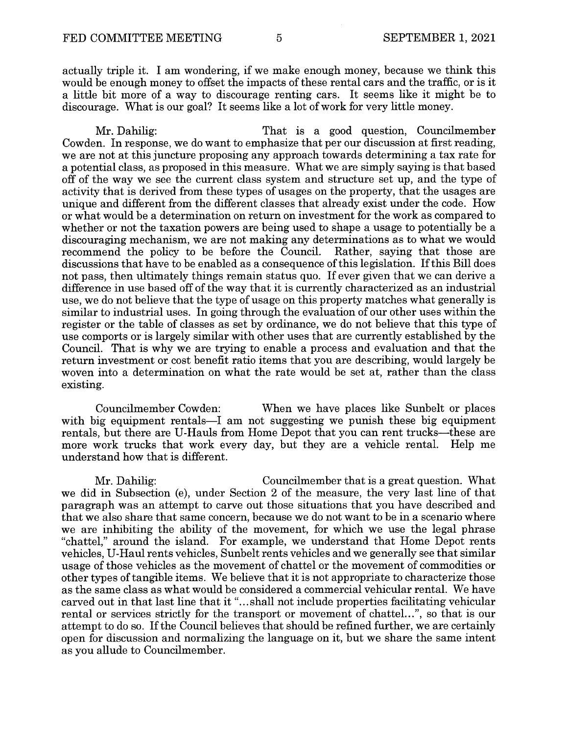actually triple it. I am wondering, if we make enough money, because we think this would be enough money to offset the impacts of these rental cars and the traffic, or is it a little bit more of a way to discourage renting cars. It seems like it might be to discourage. What is our goal? It seems like a lot of work for very little money.

Mr. Dahilig: That is a good question, Councilmember Cowden. In response, we do want to emphasize that per our discussion at first reading, we are not at this juncture proposing any approach towards determining a tax rate for a potential class, as proposed in this measure. What we are simply saying is that based off of the way we see the current class system and structure set up, and the type of activity that is derived from these types of usages on the property, that the usages are unique and different from the different classes that already exist under the code. How or what would be a determination on return on investment for the work as compared to whether or not the taxation powers are being used to shape a usage to potentially be a discouraging mechanism, we are not making any determinations as to what we would recommend the policy to be before the Council. Rather, saying that those are discussions that have to be enabled as a consequence of this legislation. If this Bill does not pass, then ultimately things remain status quo. If ever given that we can derive a difference in use based off of the way that it is currently characterized as an industrial use, we do not believe that the type of usage on this property matches what generally is similar to industrial uses. In going through the evaluation of our other uses within the register or the table of classes as set by ordinance, we do not believe that this type of use comports or is largely similar with other uses that are currently established by the Council. That is why we are trying to enable a process and evaluation and that the return investment or cost benefit ratio items that you are describing, would largely be woven into a determination on what the rate would be set at, rather than the class existing.

Councilmember Cowden: When we have places like Sunbelt or places with big equipment rentals—I am not suggesting we punish these big equipment rentals, but there are U-Hauls from Home Depot that you can rent trucks—these are more work trucks that work every day, but they are a vehicle rental. Help me understand how that is different.

Mr. Dahilig: Councilmember that is a great question. What we did in Subsection (e), under Section 2 of the measure, the very last line of that paragraph was an attempt to carve out those situations that you have described and that we also share that same concern, because we do not want to be in a scenario where we are inhibiting the ability of the movement, for which we use the legal phrase "chattel," around the island. For example, we understand that Home Depot rents vehicles, U-Haul rents vehicles, Sunbelt rents vehicles and we generally see that similar usage of those vehicles as the movement of chattel or the movement of commodities or other types of tangible items. We believe that it is not appropriate to characterize those as the same class as what would be considered a commercial vehicular rental. We have carved out in that last line that it "...shall not include properties facilitating vehicular rental or services strictly for the transport or movement of chattel...", so that is our attempt to do so. If the Council believes that should be refined further, we are certainly open for discussion and normalizing the language on it, but we share the same intent as you allude to Councilmember.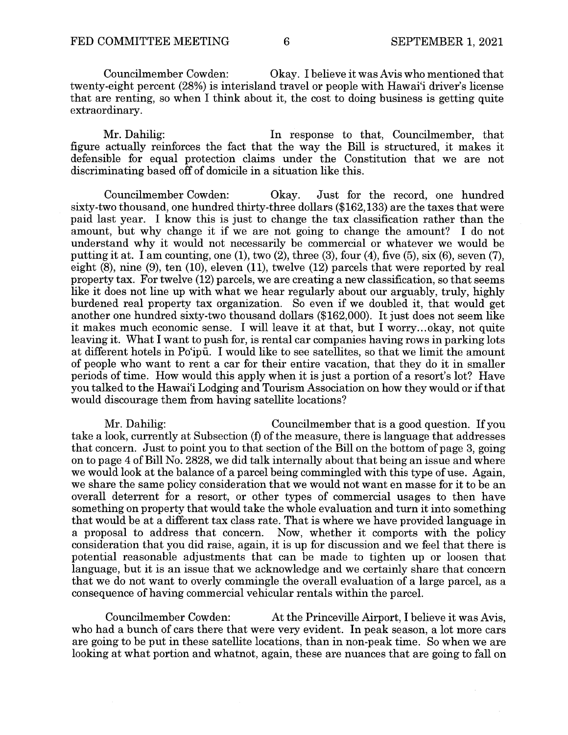Councilmember Cowden: Okay. I believe it was Avis who mentioned that twenty-eight percent (28%) is interisland travel or people with Hawai'i driver's license that are renting, so when I think about it, the cost to doing business is getting quite extraordinary.

Mr. Dahilig: In response to that, Councilmember, that figure actually reinforces the fact that the way the Bill is structured, it makes it defensible for equal protection claims under the Constitution that we are not discriminating based off of domicile in a situation like this.

Councilmember Cowden: Okay. Just for the record, one hundred sixty-two thousand, one hundred thirty-three dollars (\$162,133) are the taxes that were paid last year. I know this is just to change the tax classification rather than the amount, but why change it if we are not going to change the amount? I do not understand why it would not necessarily be commercial or whatever we would be putting it at. I am counting, one  $(1)$ , two  $(2)$ , three  $(3)$ , four  $(4)$ , five  $(5)$ , six  $(6)$ , seven  $(7)$ , eight (8), nine (9), ten (10), eleven (11), twelve (12) parcels that were reported by real property tax. For twelve (12) parcels, we are creating a new classification, so that seems like it does not line up with what we hear regularly about our arguably, truly, highly burdened real property tax organization. So even if we doubled it, that would get another one hundred sixty-two thousand dollars (\$162,000). It just does not seem like it makes much economic sense. I will leave it at that, but I worry ... okay, not quite leaving it. What I want to push for, is rental car companies having rows in parking lots at different hotels in Po'ipii. I would like to see satellites, so that we limit the amount of people who want to rent a car for their entire vacation, that they do it in smaller periods of time. How would this apply when it is just a portion of a resort's lot? Have you talked to the Hawai'i Lodging and Tourism Association on how they would or if that would discourage them from having satellite locations?

Mr. Dahilig: Councilmember that is a good question. If you take a look, currently at Subsection (f) of the measure, there is language that addresses that concern. Just to point you to that section of the Bill on the bottom of page 3, going on to page 4 of Bill No. 2828, we did talk internally about that being an issue and where we would look at the balance of a parcel being commingled with this type of use. Again, we share the same policy consideration that we would not want en masse for it to be an overall deterrent for a resort, or other types of commercial usages to then have something on property that would take the whole evaluation and turn it into something that would be at a different tax class rate. That is where we have provided language in a proposal to address that concern. Now, whether it comports with the policy consideration that you did raise, again, it is up for discussion and we feel that there is potential reasonable adjustments that can be made to tighten up or loosen that language, but it is an issue that we acknowledge and we certainly share that concern that we do not want to overly commingle the overall evaluation of a large parcel, as a consequence of having commercial vehicular rentals within the parcel.

Councilmember Cowden: At the Princeville Airport, I believe it was Avis, who had a bunch of cars there that were very evident. In peak season, a lot more cars are going to be put in these satellite locations, than in non-peak time. So when we are looking at what portion and whatnot, again, these are nuances that are going to fall on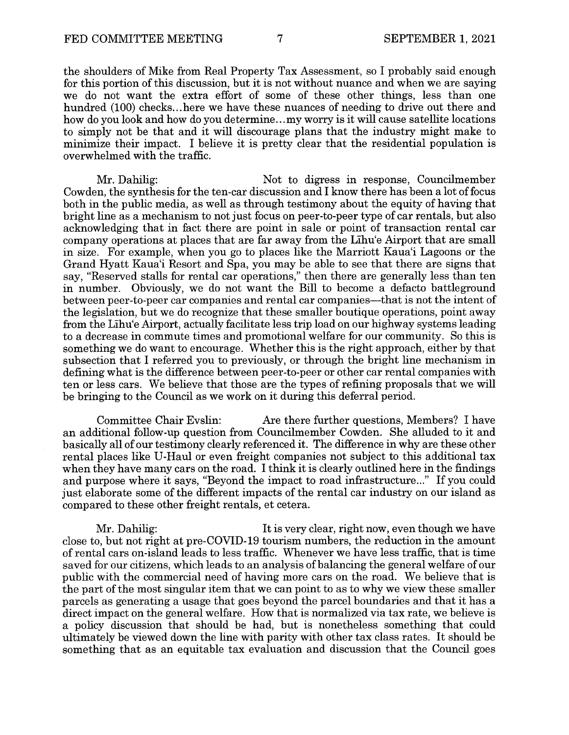the shoulders of Mike from Real Property Tax Assessment, so I probably said enough for this portion of this discussion, but it is not without nuance and when we are saying we do not want the extra effort of some of these other things, less than one hundred (100) checks... here we have these nuances of needing to drive out there and how do you look and how do you determine ... my worry is it will cause satellite locations to simply not be that and it will discourage plans that the industry might make to minimize their impact. I believe it is pretty clear that the residential population is overwhelmed with the traffic.

Mr. Dahilig: Not to digress in response, Councilmember Cowden, the synthesis for the ten-car discussion and I know there has been a lot of focus both in the public media, as well as through testimony about the equity of having that bright line as a mechanism to not just focus on peer-to-peer type of car rentals, but also acknowledging that in fact there are point in sale or point of transaction rental car company operations at places that are far away from the L'ihu'e Airport that are small in size. For example, when you go to places like the Marriott Kaua'i Lagoons or the Grand Hyatt Kaua'i Resort and Spa, you may be able to see that there are signs that say, "Reserved stalls for rental car operations," then there are generally less than ten in number. Obviously, we do not want the Bill to become a defacto battleground between peer-to-peer car companies and rental car companies-that is not the intent of the legislation, but we do recognize that these smaller boutique operations, point away from the L'ihu'e Airport, actually facilitate less trip load on our highway systems leading to a decrease in commute times and promotional welfare for our community. So this is something we do want to encourage. Whether this is the right approach, either by that subsection that I referred you to previously, or through the bright line mechanism in defining what is the difference between peer-to-peer or other car rental companies with ten or less cars. We believe that those are the types of refining proposals that we will be bringing to the Council as we work on it during this deferral period.

Committee Chair Evslin: Are there further questions, Members? I have an additional follow-up question from Councilmember Cowden. She alluded to it and basically all of our testimony clearly referenced it. The difference in why are these other rental places like U-Haul or even freight companies not subject to this additional tax when they have many cars on the road. I think it is clearly outlined here in the findings and purpose where it says, "Beyond the impact to road infrastructure..." If you could just elaborate some of the different impacts of the rental car industry on our island as compared to these other freight rentals, et cetera.

Mr. Dahilig: The Mr. of the U.S. is very clear, right now, even though we have close to, but not right at pre-COVID-19 tourism numbers, the reduction in the amount of rental cars on-island leads to less traffic. Whenever we have less traffic, that is time saved for our citizens, which leads to an analysis of balancing the general welfare of our public with the commercial need of having more cars on the road. We believe that is the part of the most singular item that we can point to as to why we view these smaller parcels as generating a usage that goes beyond the parcel boundaries and that it has a direct impact on the general welfare. How that is normalized via tax rate, we believe is a policy discussion that should be had, but is nonetheless something that could ultimately be viewed down the line with parity with other tax class rates. It should be something that as an equitable tax evaluation and discussion that the Council goes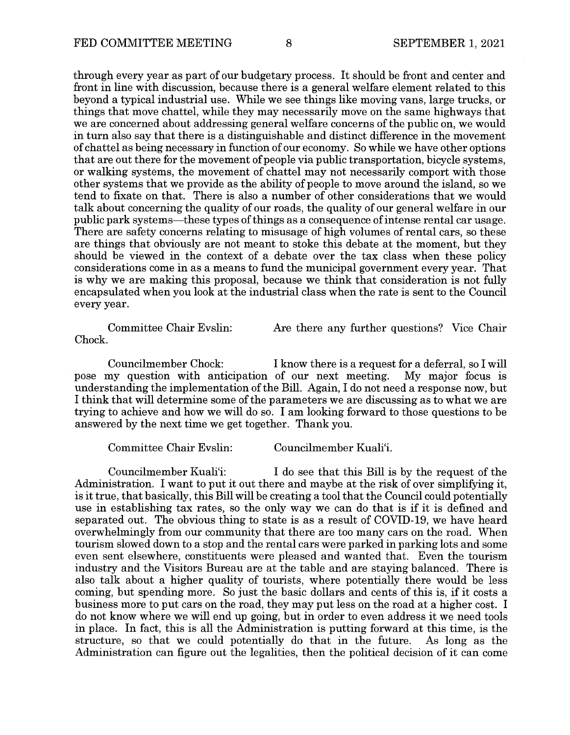through every year as part of our budgetary process. It should be front and center and front in line with discussion, because there is a general welfare element related to this beyond a typical industrial use. While we see things like moving vans, large trucks, or things that move chattel, while they may necessarily move on the same highways that we are concerned about addressing general welfare concerns of the public on, we would in turn also say that there is a distinguishable and distinct difference in the movement of chattel as being necessary in function of our economy. So while we have other options that are out there for the movement of people via public transportation, bicycle systems, or walking systems, the movement of chattel may not necessarily comport with those other systems that we provide as the ability of people to move around the island, so we tend to fixate on that. There is also a number of other considerations that we would talk about concerning the quality of our roads, the quality of our general welfare in our public park systems-these types of things as a consequence of intense rental car usage. There are safety concerns relating to misusage of high volumes of rental cars, so these are things that obviously are not meant to stoke this debate at the moment, but they should be viewed in the context of a debate over the tax class when these policy considerations come in as a means to fund the municipal government every year. That is why we are making this proposal, because we think that consideration is not fully encapsulated when you look at the industrial class when the rate is sent to the Council every year.

Committee Chair Evslin: Are there any further questions? Vice Chair Chock.

Councilmember Chock: I know there is a request for a deferral, so I will<br>ny question with anticipation of our next meeting. My major focus is pose my question with anticipation of our next meeting. understanding the implementation of the Bill. Again, I do not need a response now, but I think that will determine some of the parameters we are discussing as to what we are trying to achieve and how we will do so. I am looking forward to those questions to be answered by the next time we get together. Thank you.

Committee Chair Evslin: Councilmember Kuali'i.

Councilmember Kuali'i: I do see that this Bill is by the request of the Administration. I want to put it out there and maybe at the risk of over simplifying it, is it true, that basically, this Bill will be creating a tool that the Council could potentially use in establishing tax rates, so the only way we can do that is if it is defined and separated out. The obvious thing to state is as a result of COVID-19, we have heard overwhelmingly from our community that there are too many cars on the road. When tourism slowed down to a stop and the rental cars were parked in parking lots and some even sent elsewhere, constituents were pleased and wanted that. Even the tourism industry and the Visitors Bureau are at the table and are staying balanced. There is also talk about a higher quality of tourists, where potentially there would be less coming, but spending more. So just the basic dollars and cents of this is, if it costs a business more to put cars on the road, they may put less on the road at a higher cost. I do not know where we will end up going, but in order to even address it we need tools in place. In fact, this is all the Administration is putting forward at this time, is the structure, so that we could potentially do that in the future. As long as the Administration can figure out the legalities, then the political decision of it can come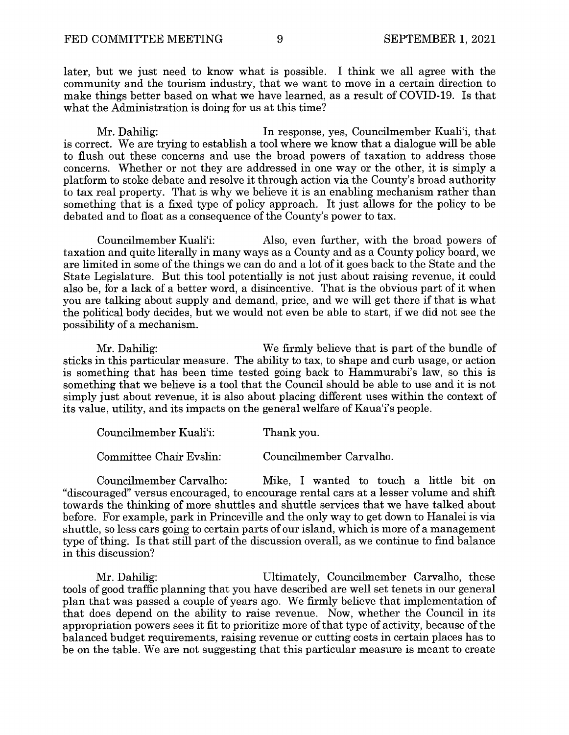later, but we just need to know what is possible. I think we all agree with the community and the tourism industry, that we want to move in a certain direction to make things better based on what we have learned, as a result of COVID-19. Is that what the Administration is doing for us at this time?

Mr. Dahilig: In response, yes, Councilmember Kuali'i, that is correct. We are trying to establish a tool where we know that a dialogue will be able to flush out these concerns and use the broad powers of taxation to address those concerns. Whether or not they are addressed in one way or the other, it is simply a platform to stoke debate and resolve it through action via the County's broad authority to tax real property. That is why we believe it is an enabling mechanism rather than something that is a fixed type of policy approach. It just allows for the policy to be debated and to float as a consequence of the County's power to tax.

Councilmember Kuali'i: Also, even further, with the broad powers of taxation and quite literally in many ways as a County and as a County policy board, we are limited in some of the things we can do and a lot of it goes back to the State and the State Legislature. But this tool potentially is not just about raising revenue, it could also be, for a lack of a better word, a disincentive. That is the obvious part of it when you are talking about supply and demand, price, and we will get there if that is what the political body decides, but we would not even be able to start, if we did not see the possibility of a mechanism.

Mr. Dahilig: We firmly believe that is part of the bundle of sticks in this particular measure. The ability to tax, to shape and curb usage, or action is something that has been time tested going back to Hammurabi's law, so this is something that we believe is a tool that the Council should be able to use and it is not simply just about revenue, it is also about placing different uses within the context of its value, utility, and its impacts on the general welfare of Kaua'i's people.

| Councilmember Kuali'i: | Thank you. |
|------------------------|------------|
|                        |            |

Committee Chair Evslin: Councilmember Carvalho.

Councilmember Carvalho: Mike, I wanted to touch a little bit on "discouraged" versus encouraged, to encourage rental cars at a lesser volume and shift towards the thinking of more shuttles and shuttle services that we have talked about before. For example, park in Princeville and the only way to get down to Hanalei is via shuttle, so less cars going to certain parts of our island, which is more of a management type of thing. Is that still part of the discussion overall, as we continue to find balance in this discussion?

Mr. Dahilig: Ultimately, Councilmember Carvalho, these tools of good traffic planning that you have described are well set tenets in our general plan that was passed a couple of years ago. We firmly believe that implementation of that does depend on the ability to raise revenue. Now, whether the Council in its appropriation powers sees it fit to prioritize more of that type of activity, because of the balanced budget requirements, raising revenue or cutting costs in certain places has to be on the table. We are not suggesting that this particular measure is meant to create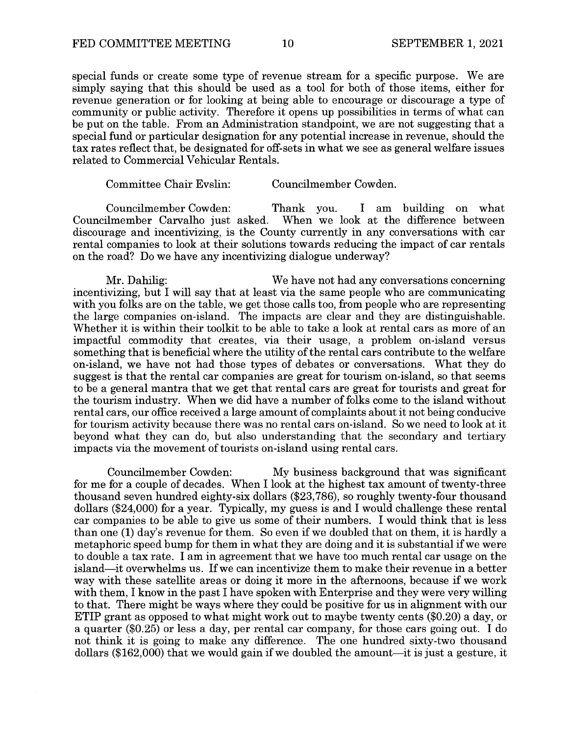special funds or create some type of revenue stream for a specific purpose. We are simply saying that this should be used as a tool for both of those items, either for revenue generation or for looking at being able to encourage or discourage a type of community or public activity. Therefore it opens up possibilities in terms of what can be put on the table. From an Administration standpoint, we are not suggesting that a special fund or particular designation for any potential increase in revenue, should the tax rates reflect that, be designated for off-sets in what we see as general welfare issues related to Commercial Vehicular Rentals.

## Committee Chair Evslin: Councilmember Cowden.

Councilmember Cowden: Thank you. I am building on what Councilmember Carvalho just asked. When we look at the difference between discourage and incentivizing, is the County currently in any conversations with car rental companies to look at their solutions towards reducing the impact of car rentals on the road? Do we have any incentivizing dialogue underway?

Mr. Dahilig: We have not had any conversations concerning incentivizing, but I will say that at least via the same people who are communicating with you folks are on the table, we get those calls too, from people who are representing the large companies on-island. The impacts are clear and they are distinguishable. Whether it is within their toolkit to be able to take a look at rental cars as more of an impactful commodity that creates, via their usage, a problem on-island versus something that is beneficial where the utility of the rental cars contribute to the welfare on-island, we have not had those types of debates or conversations. What they do suggest is that the rental car companies are great for tourism on-island, so that seems to be a general mantra that we get that rental cars are great for tourists and great for the tourism industry. When we did have a number of folks come to the island without rental cars, our office received a large amount of complaints about it not being conducive for tourism activity because there was no rental cars on-island. So we need to look at it beyond what they can do, but also understanding that the secondary and tertiary impacts via the movement of tourists on-island using rental cars.

Councilmember Cowden: My business background that was significant for me for a couple of decades. When I look at the highest tax amount of twenty-three thousand seven hundred eighty-six dollars (\$23,786), so roughly twenty-four thousand dollars (\$24,000) for a year. Typically, my guess is and I would challenge these rental car companies to be able to give us some of their numbers. I would think that is less than one (1) day's revenue for them. So even if we doubled that on them, it is hardly a metaphoric speed bump for them in what they are doing and it is substantial if we were to double a tax rate. I am in agreement that we have too much rental car usage on the island-it overwhelms us. Ifwe can incentivize them to make their revenue in a better way with these satellite areas or doing it more in the afternoons, because if we work with them, I know in the past I have spoken with Enterprise and they were very willing to that. There might be ways where they could be positive for us in alignment with our ETIP grant as opposed to what might work out to maybe twenty cents (\$0.20) a day, or a quarter (\$0.25) or less a day, per rental car company, for those cars going out. I do not think it is going to make any difference. The one hundred sixty-two thousand dollars (\$162,000) that we would gain if we doubled the amount-it is just a gesture, it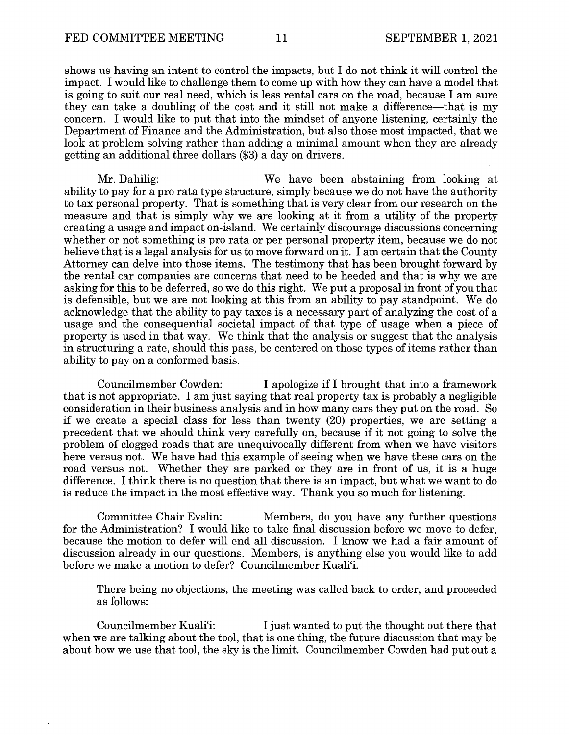shows us having an intent to control the impacts, but I do not think it will control the impact. I would like to challenge them to come up with how they can have a model that is going to suit our real need, which is less rental cars on the road, because I am sure they can take a doubling of the cost and it still not make a difference—that is my concern. I would like to put that into the mindset of anyone listening, certainly the Department of Finance and the Administration, but also those most impacted, that we look at problem solving rather than adding a minimal amount when they are already getting an additional three dollars (\$3) a day on drivers.

Mr. Dahilig: We have been abstaining from looking at ability to pay for a pro rata type structure, simply because we do not have the authority to tax personal property. That is something that is very clear from our research on the measure and that is simply why we are looking at it from a utility of the property creating a usage and impact on-island. We certainly discourage discussions concerning whether or not something is pro rata or per personal property item, because we do not believe that is a legal analysis for us to move forward on it. I am certain that the County Attorney can delve into those items. The testimony that has been brought forward by the rental car companies are concerns that need to be heeded and that is why we are asking for this to be deferred, so we do this right. We put a proposal in front of you that is defensible, but we are not looking at this from an ability to pay standpoint. We do acknowledge that the ability to pay taxes is a necessary part of analyzing the cost of a usage and the consequential societal impact of that type of usage when a piece of property is used in that way. We think that the analysis or suggest that the analysis in structuring a rate, should this pass, be centered on those types of items rather than ability to pay on a conformed basis.

Councilmember Cowden: I apologize if I brought that into a framework that is not appropriate. I am just saying that real property tax is probably a negligible consideration in their business analysis and in how many cars they put on the road. So if we create a special class for less than twenty (20) properties, we are setting a precedent that we should think very carefully on, because if it not going to solve the problem of clogged roads that are unequivocally different from when we have visitors here versus not. We have had this example of seeing when we have these cars on the road versus not. Whether they are parked or they are in front of us, it is a huge difference. I think there is no question that there is an impact, but what we want to do is reduce the impact in the most effective way. Thank you so much for listening.

Committee Chair Evslin: Members, do you have any further questions for the Administration? I would like to take final discussion before we move to defer, because the motion to defer will end all discussion. I know we had a fair amount of discussion already in our questions. Members, is anything else you would like to add before we make a motion to defer? Councilmember Kuali'i.

There being no objections, the meeting was called back to order, and proceeded as follows:

Councilmember Kuali'i: I just wanted to put the thought out there that when we are talking about the tool, that is one thing, the future discussion that may be about how we use that tool, the sky is the limit. Councilmember Cowden had put out a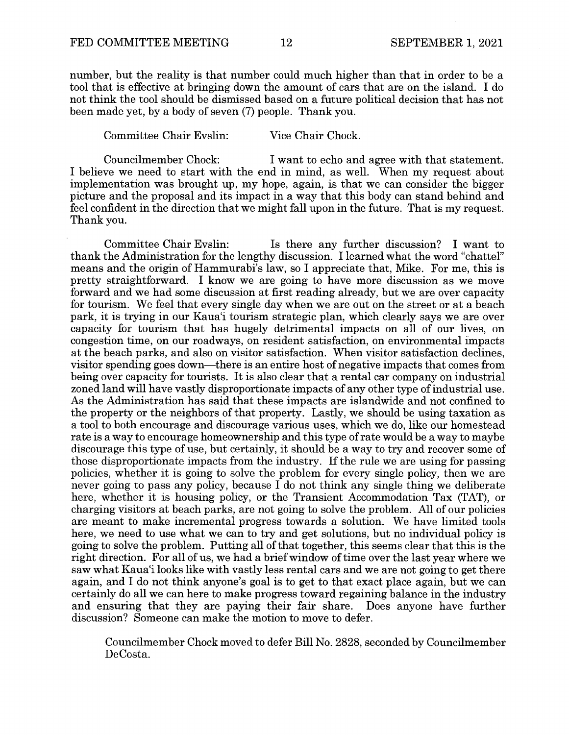number, but the reality is that number could much higher than that in order to be a tool that is effective at bringing down the amount of cars that are on the island. I do not think the tool should be dismissed based on a future political decision that has not been made yet, by a body of seven (7) people. Thank you.

Committee Chair Evslin: Vice Chair Chock.

Councilmember Chock: I want to echo and agree with that statement. I believe we need to start with the end in mind, as well. When my request about implementation was brought up, my hope, again, is that we can consider the bigger picture and the proposal and its impact in a way that this body can stand behind and feel confident in the direction that we might fall upon in the future. That is my request. Thank you.

Committee Chair Evslin: Is there any further discussion? I want to thank the Administration for the lengthy discussion. I learned what the word "chattel" means and the origin of Hammurabi's law, so I appreciate that, Mike. For me, this is pretty straightforward. I know we are going to have more discussion as we move forward and we had some discussion at first reading already, but we are over capacity for tourism. We feel that every single day when we are out on the street or at a beach park, it is trying in our Kaua'i tourism strategic plan, which clearly says we are over capacity for tourism that has hugely detrimental impacts on all of our lives, on congestion time, on our roadways, on resident satisfaction, on environmental impacts at the beach parks, and also on visitor satisfaction. When visitor satisfaction declines, visitor spending goes down-there is an entire host of negative impacts that comes from being over capacity for tourists. It is also clear that a rental car company on industrial zoned land will have vastly disproportionate impacts of any other type of industrial use. As the Administration has said that these impacts are islandwide and not confined to the property or the neighbors of that property. Lastly, we should be using taxation as a tool to both encourage and discourage various uses, which we do, like our homestead rate is a way to encourage homeownership and this type of rate would be a way to maybe discourage this type of use, but certainly, it should be a way to try and recover some of those disproportionate impacts from the industry. If the rule we are using for passing policies, whether it is going to solve the problem for every single policy, then we are never going to pass any policy, because  $\overline{I}$  do not think any single thing we deliberate here, whether it is housing policy, or the Transient Accommodation Tax (TAT), or charging visitors at beach parks, are not going to solve the problem. All of our policies are meant to make incremental progress towards a solution. We have limited tools here, we need to use what we can to try and get solutions, but no individual policy is going to solve the problem. Putting all of that together, this seems clear that this is the right direction. For all of us, we had a brief window of time over the last year where we saw what Kaua'i looks like with vastly less rental cars and we are not going to get there again, and I do not think anyone's goal is to get to that exact place again, but we can certainly do all we can here to make progress toward regaining balance in the industry and ensuring that they are paying their fair share. Does anyone have further discussion? Someone can make the motion to move to defer.

Councilmember Chock moved to defer Bill No. 2828, seconded by Councilmember DeCosta.